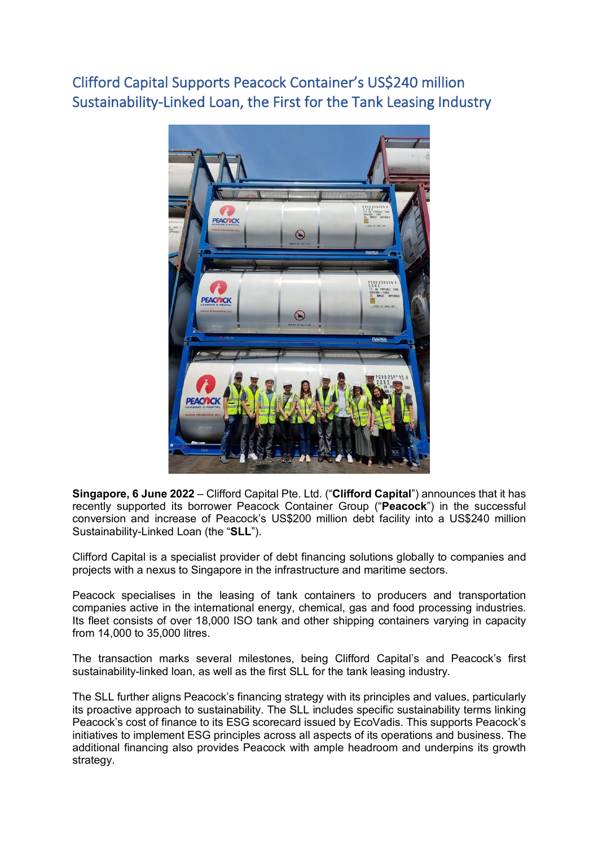Clifford Capital Supports Peacock Container's US\$240 million Sustainability-Linked Loan, the First for the Tank Leasing Industry



**Singapore, 6 June 2022** – Clifford Capital Pte. Ltd. ("**Clifford Capital**") announces that it has recently supported its borrower Peacock Container Group ("**Peacock**") in the successful conversion and increase of Peacock's US\$200 million debt facility into a US\$240 million Sustainability-Linked Loan (the "**SLL**").

Clifford Capital is a specialist provider of debt financing solutions globally to companies and projects with a nexus to Singapore in the infrastructure and maritime sectors.

Peacock specialises in the leasing of tank containers to producers and transportation companies active in the international energy, chemical, gas and food processing industries. Its fleet consists of over 18,000 ISO tank and other shipping containers varying in capacity from 14,000 to 35,000 litres.

The transaction marks several milestones, being Clifford Capital's and Peacock's first sustainability-linked loan, as well as the first SLL for the tank leasing industry.

The SLL further aligns Peacock's financing strategy with its principles and values, particularly its proactive approach to sustainability. The SLL includes specific sustainability terms linking Peacock's cost of finance to its ESG scorecard issued by EcoVadis. This supports Peacock's initiatives to implement ESG principles across all aspects of its operations and business. The additional financing also provides Peacock with ample headroom and underpins its growth strategy.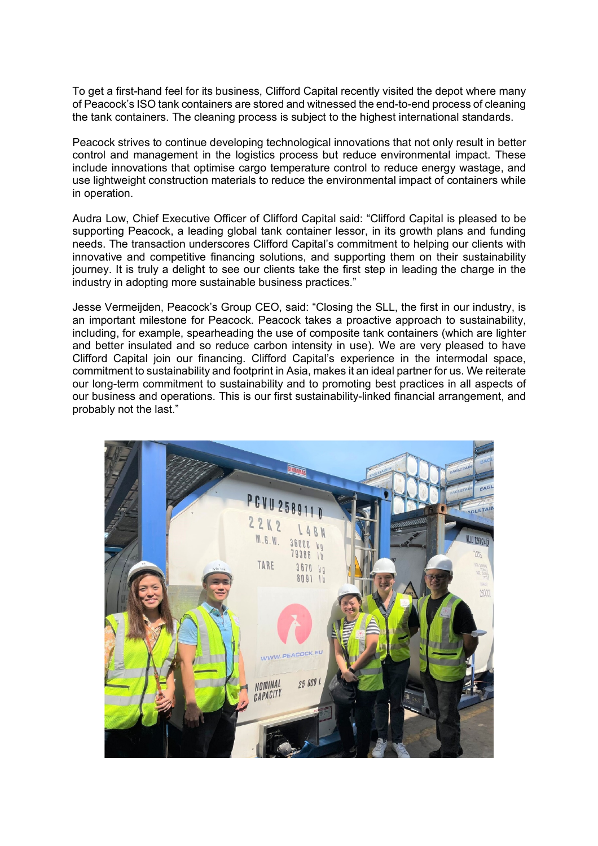To get a first-hand feel for its business, Clifford Capital recently visited the depot where many of Peacock's ISO tank containers are stored and witnessed the end-to-end process of cleaning the tank containers. The cleaning process is subject to the highest international standards.

Peacock strives to continue developing technological innovations that not only result in better control and management in the logistics process but reduce environmental impact. These include innovations that optimise cargo temperature control to reduce energy wastage, and use lightweight construction materials to reduce the environmental impact of containers while in operation.

Audra Low, Chief Executive Officer of Clifford Capital said: "Clifford Capital is pleased to be supporting Peacock, a leading global tank container lessor, in its growth plans and funding needs. The transaction underscores Clifford Capital's commitment to helping our clients with innovative and competitive financing solutions, and supporting them on their sustainability journey. It is truly a delight to see our clients take the first step in leading the charge in the industry in adopting more sustainable business practices."

Jesse Vermeijden, Peacock's Group CEO, said: "Closing the SLL, the first in our industry, is an important milestone for Peacock. Peacock takes a proactive approach to sustainability, including, for example, spearheading the use of composite tank containers (which are lighter and better insulated and so reduce carbon intensity in use). We are very pleased to have Clifford Capital join our financing. Clifford Capital's experience in the intermodal space, commitment to sustainability and footprint in Asia, makes it an ideal partner for us. We reiterate our long-term commitment to sustainability and to promoting best practices in all aspects of our business and operations. This is our first sustainability-linked financial arrangement, and probably not the last."